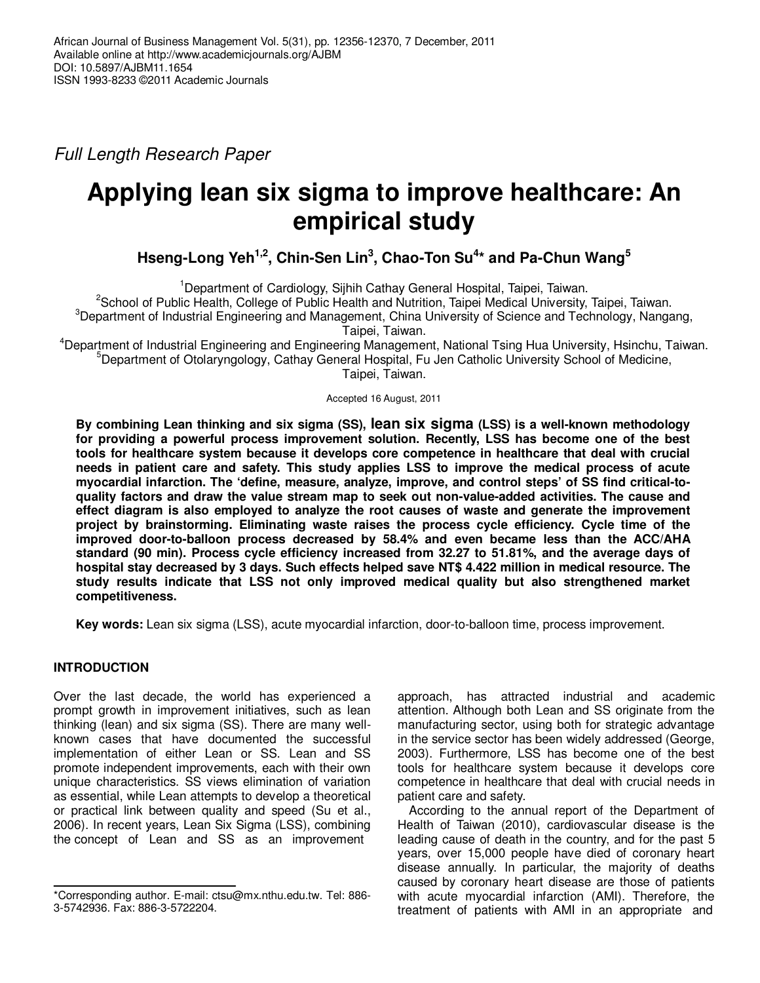Full Length Research Paper

# **Applying lean six sigma to improve healthcare: An empirical study**

**Hseng-Long Yeh1,2, Chin-Sen Lin<sup>3</sup> , Chao-Ton Su<sup>4</sup> \* and Pa-Chun Wang<sup>5</sup>**

<sup>1</sup>Department of Cardiology, Sijhih Cathay General Hospital, Taipei, Taiwan. <sup>2</sup>School of Public Health, College of Public Health and Nutrition, Taipei Medical University, Taipei, Taiwan. <sup>3</sup>Department of Industrial Engineering and Management, China University of Science and Technology, Nangang, Taipei, Taiwan.

<sup>4</sup>Department of Industrial Engineering and Engineering Management, National Tsing Hua University, Hsinchu, Taiwan. <sup>5</sup>Department of Otolaryngology, Cathay General Hospital, Fu Jen Catholic University School of Medicine, Taipei, Taiwan.

Accepted 16 August, 2011

**By combining Lean thinking and six sigma (SS), lean six sigma (LSS) is a well-known methodology for providing a powerful process improvement solution. Recently, LSS has become one of the best tools for healthcare system because it develops core competence in healthcare that deal with crucial needs in patient care and safety. This study applies LSS to improve the medical process of acute myocardial infarction. The 'define, measure, analyze, improve, and control steps' of SS find critical-toquality factors and draw the value stream map to seek out non-value-added activities. The cause and effect diagram is also employed to analyze the root causes of waste and generate the improvement project by brainstorming. Eliminating waste raises the process cycle efficiency. Cycle time of the improved door-to-balloon process decreased by 58.4% and even became less than the ACC/AHA standard (90 min). Process cycle efficiency increased from 32.27 to 51.81%, and the average days of hospital stay decreased by 3 days. Such effects helped save NT\$ 4.422 million in medical resource. The study results indicate that LSS not only improved medical quality but also strengthened market competitiveness.** 

**Key words:** Lean six sigma (LSS), acute myocardial infarction, door-to-balloon time, process improvement.

# **INTRODUCTION**

Over the last decade, the world has experienced a prompt growth in improvement initiatives, such as lean thinking (lean) and six sigma (SS). There are many wellknown cases that have documented the successful implementation of either Lean or SS. Lean and SS promote independent improvements, each with their own unique characteristics. SS views elimination of variation as essential, while Lean attempts to develop a theoretical or practical link between quality and speed (Su et al., 2006). In recent years, Lean Six Sigma (LSS), combining the concept of Lean and SS as an improvement

approach, has attracted industrial and academic attention. Although both Lean and SS originate from the manufacturing sector, using both for strategic advantage in the service sector has been widely addressed (George, 2003). Furthermore, LSS has become one of the best tools for healthcare system because it develops core competence in healthcare that deal with crucial needs in patient care and safety.

According to the annual report of the Department of Health of Taiwan (2010), cardiovascular disease is the leading cause of death in the country, and for the past 5 years, over 15,000 people have died of coronary heart disease annually. In particular, the majority of deaths caused by coronary heart disease are those of patients with acute myocardial infarction (AMI). Therefore, the treatment of patients with AMI in an appropriate and

<sup>\*</sup>Corresponding author. E-mail: ctsu@mx.nthu.edu.tw. Tel: 886- 3-5742936. Fax: 886-3-5722204.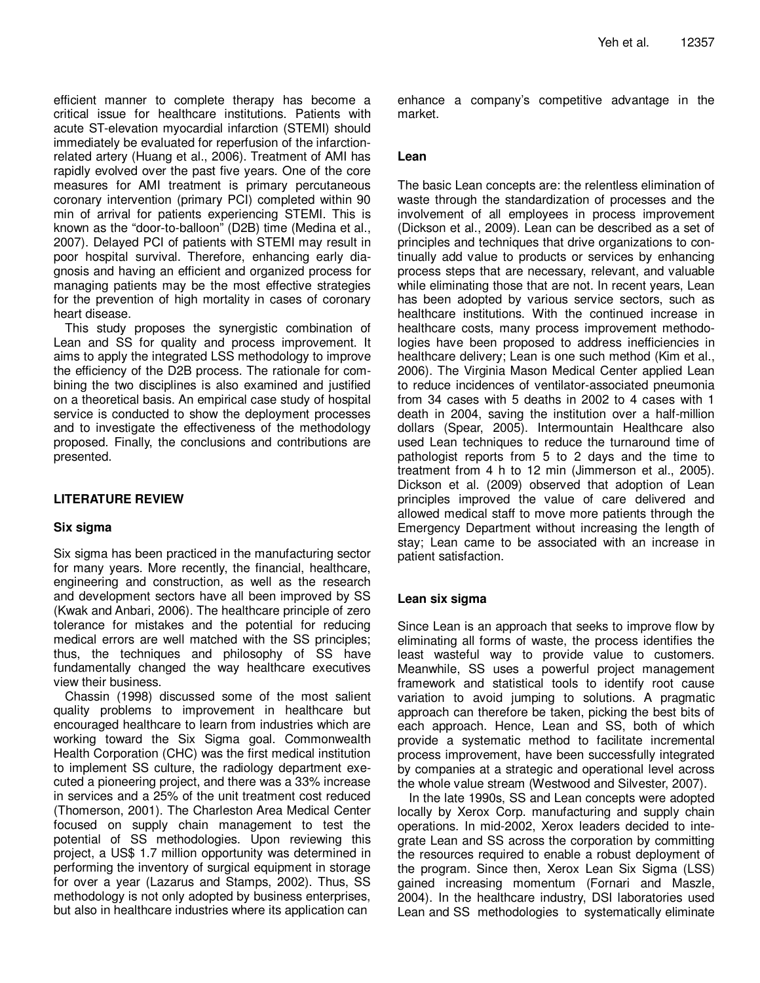efficient manner to complete therapy has become a critical issue for healthcare institutions. Patients with acute ST-elevation myocardial infarction (STEMI) should immediately be evaluated for reperfusion of the infarctionrelated artery (Huang et al., 2006). Treatment of AMI has rapidly evolved over the past five years. One of the core measures for AMI treatment is primary percutaneous coronary intervention (primary PCI) completed within 90 min of arrival for patients experiencing STEMI. This is known as the "door-to-balloon" (D2B) time (Medina et al., 2007). Delayed PCI of patients with STEMI may result in poor hospital survival. Therefore, enhancing early diagnosis and having an efficient and organized process for managing patients may be the most effective strategies for the prevention of high mortality in cases of coronary heart disease.

This study proposes the synergistic combination of Lean and SS for quality and process improvement. It aims to apply the integrated LSS methodology to improve the efficiency of the D2B process. The rationale for combining the two disciplines is also examined and justified on a theoretical basis. An empirical case study of hospital service is conducted to show the deployment processes and to investigate the effectiveness of the methodology proposed. Finally, the conclusions and contributions are presented.

# **LITERATURE REVIEW**

## **Six sigma**

Six sigma has been practiced in the manufacturing sector for many years. More recently, the financial, healthcare, engineering and construction, as well as the research and development sectors have all been improved by SS (Kwak and Anbari, 2006). The healthcare principle of zero tolerance for mistakes and the potential for reducing medical errors are well matched with the SS principles; thus, the techniques and philosophy of SS have fundamentally changed the way healthcare executives view their business.

Chassin (1998) discussed some of the most salient quality problems to improvement in healthcare but encouraged healthcare to learn from industries which are working toward the Six Sigma goal. Commonwealth Health Corporation (CHC) was the first medical institution to implement SS culture, the radiology department executed a pioneering project, and there was a 33% increase in services and a 25% of the unit treatment cost reduced (Thomerson, 2001). The Charleston Area Medical Center focused on supply chain management to test the potential of SS methodologies. Upon reviewing this project, a US\$ 1.7 million opportunity was determined in performing the inventory of surgical equipment in storage for over a year (Lazarus and Stamps, 2002). Thus, SS methodology is not only adopted by business enterprises, but also in healthcare industries where its application can

enhance a company's competitive advantage in the market.

# **Lean**

The basic Lean concepts are: the relentless elimination of waste through the standardization of processes and the involvement of all employees in process improvement (Dickson et al., 2009). Lean can be described as a set of principles and techniques that drive organizations to continually add value to products or services by enhancing process steps that are necessary, relevant, and valuable while eliminating those that are not. In recent years, Lean has been adopted by various service sectors, such as healthcare institutions. With the continued increase in healthcare costs, many process improvement methodologies have been proposed to address inefficiencies in healthcare delivery; Lean is one such method (Kim et al., 2006). The Virginia Mason Medical Center applied Lean to reduce incidences of ventilator-associated pneumonia from 34 cases with 5 deaths in 2002 to 4 cases with 1 death in 2004, saving the institution over a half-million dollars (Spear, 2005). Intermountain Healthcare also used Lean techniques to reduce the turnaround time of pathologist reports from 5 to 2 days and the time to treatment from 4 h to 12 min (Jimmerson et al., 2005). Dickson et al. (2009) observed that adoption of Lean principles improved the value of care delivered and allowed medical staff to move more patients through the Emergency Department without increasing the length of stay; Lean came to be associated with an increase in patient satisfaction.

## **Lean six sigma**

Since Lean is an approach that seeks to improve flow by eliminating all forms of waste, the process identifies the least wasteful way to provide value to customers. Meanwhile, SS uses a powerful project management framework and statistical tools to identify root cause variation to avoid jumping to solutions. A pragmatic approach can therefore be taken, picking the best bits of each approach. Hence, Lean and SS, both of which provide a systematic method to facilitate incremental process improvement, have been successfully integrated by companies at a strategic and operational level across the whole value stream (Westwood and Silvester, 2007).

In the late 1990s, SS and Lean concepts were adopted locally by Xerox Corp. manufacturing and supply chain operations. In mid-2002, Xerox leaders decided to integrate Lean and SS across the corporation by committing the resources required to enable a robust deployment of the program. Since then, Xerox Lean Six Sigma (LSS) gained increasing momentum (Fornari and Maszle, 2004). In the healthcare industry, DSI laboratories used Lean and SS methodologies to systematically eliminate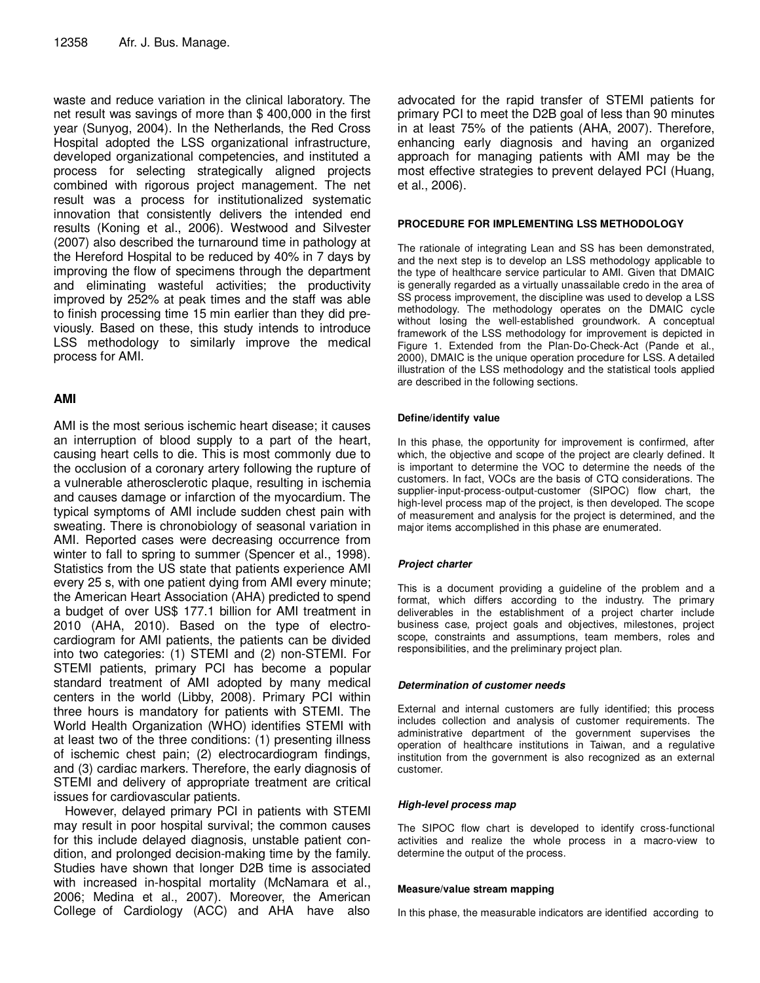waste and reduce variation in the clinical laboratory. The net result was savings of more than \$ 400,000 in the first year (Sunyog, 2004). In the Netherlands, the Red Cross Hospital adopted the LSS organizational infrastructure, developed organizational competencies, and instituted a process for selecting strategically aligned projects combined with rigorous project management. The net result was a process for institutionalized systematic innovation that consistently delivers the intended end results (Koning et al., 2006). Westwood and Silvester (2007) also described the turnaround time in pathology at the Hereford Hospital to be reduced by 40% in 7 days by improving the flow of specimens through the department and eliminating wasteful activities; the productivity improved by 252% at peak times and the staff was able to finish processing time 15 min earlier than they did previously. Based on these, this study intends to introduce LSS methodology to similarly improve the medical process for AMI.

# **AMI**

AMI is the most serious ischemic heart disease; it causes an interruption of blood supply to a part of the heart, causing heart cells to die. This is most commonly due to the occlusion of a coronary artery following the rupture of a vulnerable atherosclerotic plaque, resulting in ischemia and causes damage or infarction of the myocardium. The typical symptoms of AMI include sudden chest pain with sweating. There is chronobiology of seasonal variation in AMI. Reported cases were decreasing occurrence from winter to fall to spring to summer (Spencer et al., 1998). Statistics from the US state that patients experience AMI every 25 s, with one patient dying from AMI every minute; the American Heart Association (AHA) predicted to spend a budget of over US\$ 177.1 billion for AMI treatment in 2010 (AHA, 2010). Based on the type of electrocardiogram for AMI patients, the patients can be divided into two categories: (1) STEMI and (2) non-STEMI. For STEMI patients, primary PCI has become a popular standard treatment of AMI adopted by many medical centers in the world (Libby, 2008). Primary PCI within three hours is mandatory for patients with STEMI. The World Health Organization (WHO) identifies STEMI with at least two of the three conditions: (1) presenting illness of ischemic chest pain; (2) electrocardiogram findings, and (3) cardiac markers. Therefore, the early diagnosis of STEMI and delivery of appropriate treatment are critical issues for cardiovascular patients.

However, delayed primary PCI in patients with STEMI may result in poor hospital survival; the common causes for this include delayed diagnosis, unstable patient condition, and prolonged decision-making time by the family. Studies have shown that longer D2B time is associated with increased in-hospital mortality (McNamara et al., 2006; Medina et al., 2007). Moreover, the American College of Cardiology (ACC) and AHA have also advocated for the rapid transfer of STEMI patients for primary PCI to meet the D2B goal of less than 90 minutes in at least 75% of the patients (AHA, 2007). Therefore, enhancing early diagnosis and having an organized approach for managing patients with AMI may be the most effective strategies to prevent delayed PCI (Huang, et al., 2006).

# **PROCEDURE FOR IMPLEMENTING LSS METHODOLOGY**

The rationale of integrating Lean and SS has been demonstrated, and the next step is to develop an LSS methodology applicable to the type of healthcare service particular to AMI. Given that DMAIC is generally regarded as a virtually unassailable credo in the area of SS process improvement, the discipline was used to develop a LSS methodology. The methodology operates on the DMAIC cycle without losing the well-established groundwork. A conceptual framework of the LSS methodology for improvement is depicted in Figure 1. Extended from the Plan-Do-Check-Act (Pande et al., 2000), DMAIC is the unique operation procedure for LSS. A detailed illustration of the LSS methodology and the statistical tools applied are described in the following sections.

# **Define/identify value**

In this phase, the opportunity for improvement is confirmed, after which, the objective and scope of the project are clearly defined. It is important to determine the VOC to determine the needs of the customers. In fact, VOCs are the basis of CTQ considerations. The supplier-input-process-output-customer (SIPOC) flow chart, the high-level process map of the project, is then developed. The scope of measurement and analysis for the project is determined, and the major items accomplished in this phase are enumerated.

## **Project charter**

This is a document providing a guideline of the problem and a format, which differs according to the industry. The primary deliverables in the establishment of a project charter include business case, project goals and objectives, milestones, project scope, constraints and assumptions, team members, roles and responsibilities, and the preliminary project plan.

## **Determination of customer needs**

External and internal customers are fully identified; this process includes collection and analysis of customer requirements. The administrative department of the government supervises the operation of healthcare institutions in Taiwan, and a regulative institution from the government is also recognized as an external customer.

## **High-level process map**

The SIPOC flow chart is developed to identify cross-functional activities and realize the whole process in a macro-view to determine the output of the process.

#### **Measure/value stream mapping**

In this phase, the measurable indicators are identified according to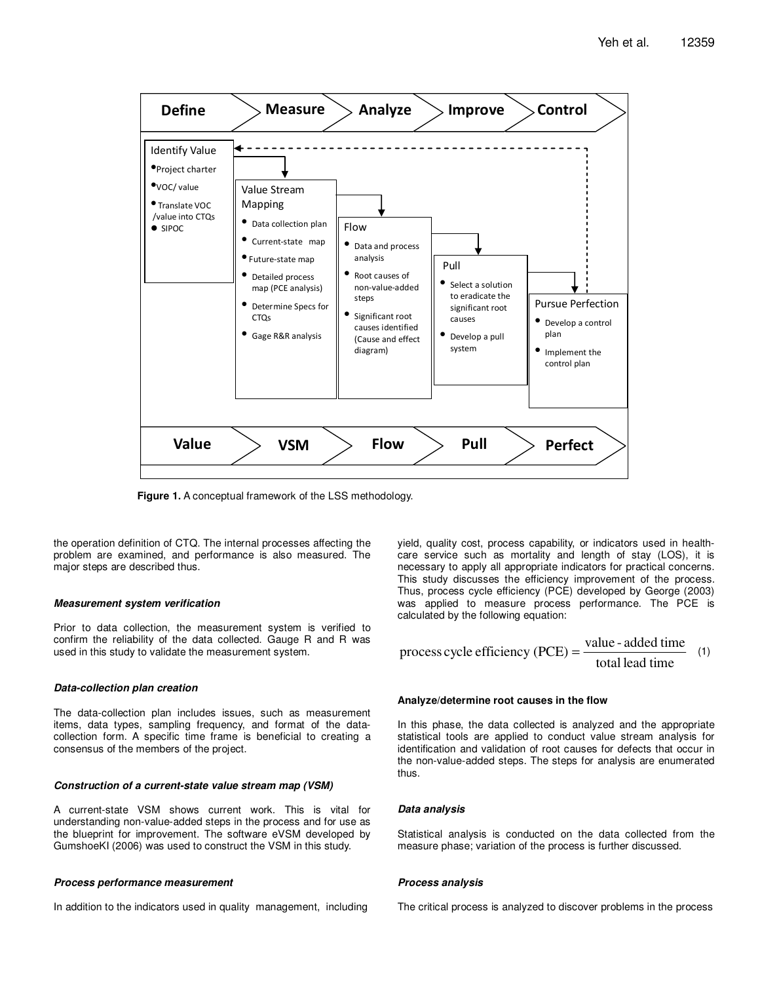

**Figure 1.** A conceptual framework of the LSS methodology.

the operation definition of CTQ. The internal processes affecting the problem are examined, and performance is also measured. The major steps are described thus.

#### **Measurement system verification**

Prior to data collection, the measurement system is verified to confirm the reliability of the data collected. Gauge R and R was used in this study to validate the measurement system.

#### **Data-collection plan creation**

The data-collection plan includes issues, such as measurement items, data types, sampling frequency, and format of the datacollection form. A specific time frame is beneficial to creating a consensus of the members of the project.

#### **Construction of a current-state value stream map (VSM)**

A current-state VSM shows current work. This is vital for understanding non-value-added steps in the process and for use as the blueprint for improvement. The software eVSM developed by GumshoeKI (2006) was used to construct the VSM in this study.

#### **Process performance measurement**

In addition to the indicators used in quality management, including

yield, quality cost, process capability, or indicators used in healthcare service such as mortality and length of stay (LOS), it is necessary to apply all appropriate indicators for practical concerns. This study discusses the efficiency improvement of the process. Thus, process cycle efficiency (PCE) developed by George (2003) was applied to measure process performance. The PCE is calculated by the following equation:

process cycle efficiency (PCE) = 
$$
\frac{\text{value - added time}}{\text{total lead time}}
$$
 (1)

#### **Analyze/determine root causes in the flow**

In this phase, the data collected is analyzed and the appropriate statistical tools are applied to conduct value stream analysis for identification and validation of root causes for defects that occur in the non-value-added steps. The steps for analysis are enumerated thus.

#### **Data analysis**

Statistical analysis is conducted on the data collected from the measure phase; variation of the process is further discussed.

#### **Process analysis**

The critical process is analyzed to discover problems in the process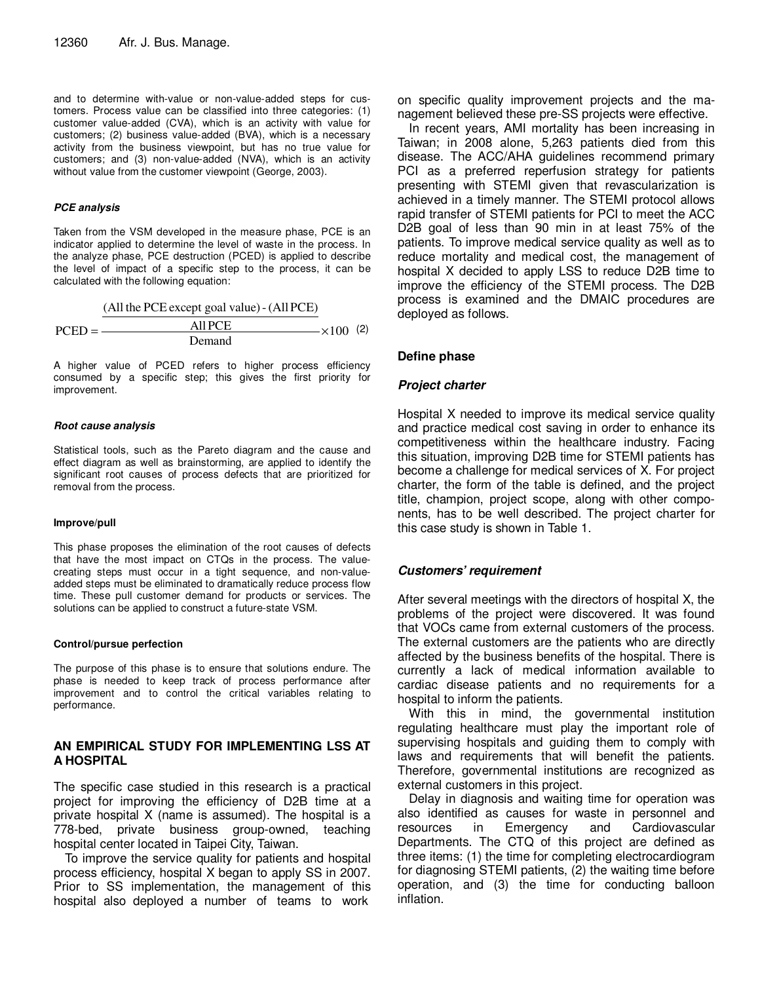and to determine with-value or non-value-added steps for customers. Process value can be classified into three categories: (1) customer value-added (CVA), which is an activity with value for customers; (2) business value-added (BVA), which is a necessary activity from the business viewpoint, but has no true value for customers; and (3) non-value-added (NVA), which is an activity without value from the customer viewpoint (George, 2003).

#### **PCE analysis**

Taken from the VSM developed in the measure phase, PCE is an indicator applied to determine the level of waste in the process. In the analyze phase, PCE destruction (PCED) is applied to describe the level of impact of a specific step to the process, it can be calculated with the following equation:

|            | (All the PCE except goal value) - (All PCE) |                    |  |
|------------|---------------------------------------------|--------------------|--|
| $PCED = -$ | All PCE                                     | $- \times 100$ (2) |  |
|            | Demand                                      |                    |  |

A higher value of PCED refers to higher process efficiency consumed by a specific step; this gives the first priority for improvement.

#### **Root cause analysis**

Statistical tools, such as the Pareto diagram and the cause and effect diagram as well as brainstorming, are applied to identify the significant root causes of process defects that are prioritized for removal from the process.

#### **Improve/pull**

This phase proposes the elimination of the root causes of defects that have the most impact on CTQs in the process. The valuecreating steps must occur in a tight sequence, and non-valueadded steps must be eliminated to dramatically reduce process flow time. These pull customer demand for products or services. The solutions can be applied to construct a future-state VSM.

#### **Control/pursue perfection**

The purpose of this phase is to ensure that solutions endure. The phase is needed to keep track of process performance after improvement and to control the critical variables relating to performance.

# **AN EMPIRICAL STUDY FOR IMPLEMENTING LSS AT A HOSPITAL**

The specific case studied in this research is a practical project for improving the efficiency of D2B time at a private hospital X (name is assumed). The hospital is a 778-bed, private business group-owned, teaching hospital center located in Taipei City, Taiwan.

To improve the service quality for patients and hospital process efficiency, hospital X began to apply SS in 2007. Prior to SS implementation, the management of this hospital also deployed a number of teams to work

on specific quality improvement projects and the management believed these pre-SS projects were effective.

In recent years, AMI mortality has been increasing in Taiwan; in 2008 alone, 5,263 patients died from this disease. The ACC/AHA guidelines recommend primary PCI as a preferred reperfusion strategy for patients presenting with STEMI given that revascularization is achieved in a timely manner. The STEMI protocol allows rapid transfer of STEMI patients for PCI to meet the ACC D2B goal of less than 90 min in at least 75% of the patients. To improve medical service quality as well as to reduce mortality and medical cost, the management of hospital X decided to apply LSS to reduce D2B time to improve the efficiency of the STEMI process. The D2B process is examined and the DMAIC procedures are deployed as follows.

# **Define phase**

# **Project charter**

Hospital X needed to improve its medical service quality and practice medical cost saving in order to enhance its competitiveness within the healthcare industry. Facing this situation, improving D2B time for STEMI patients has become a challenge for medical services of X. For project charter, the form of the table is defined, and the project title, champion, project scope, along with other components, has to be well described. The project charter for this case study is shown in Table 1.

# **Customers' requirement**

After several meetings with the directors of hospital X, the problems of the project were discovered. It was found that VOCs came from external customers of the process. The external customers are the patients who are directly affected by the business benefits of the hospital. There is currently a lack of medical information available to cardiac disease patients and no requirements for a hospital to inform the patients.

With this in mind, the governmental institution regulating healthcare must play the important role of supervising hospitals and guiding them to comply with laws and requirements that will benefit the patients. Therefore, governmental institutions are recognized as external customers in this project.

Delay in diagnosis and waiting time for operation was also identified as causes for waste in personnel and resources in Emergency and Cardiovascular Departments. The CTQ of this project are defined as three items: (1) the time for completing electrocardiogram for diagnosing STEMI patients, (2) the waiting time before operation, and (3) the time for conducting balloon inflation.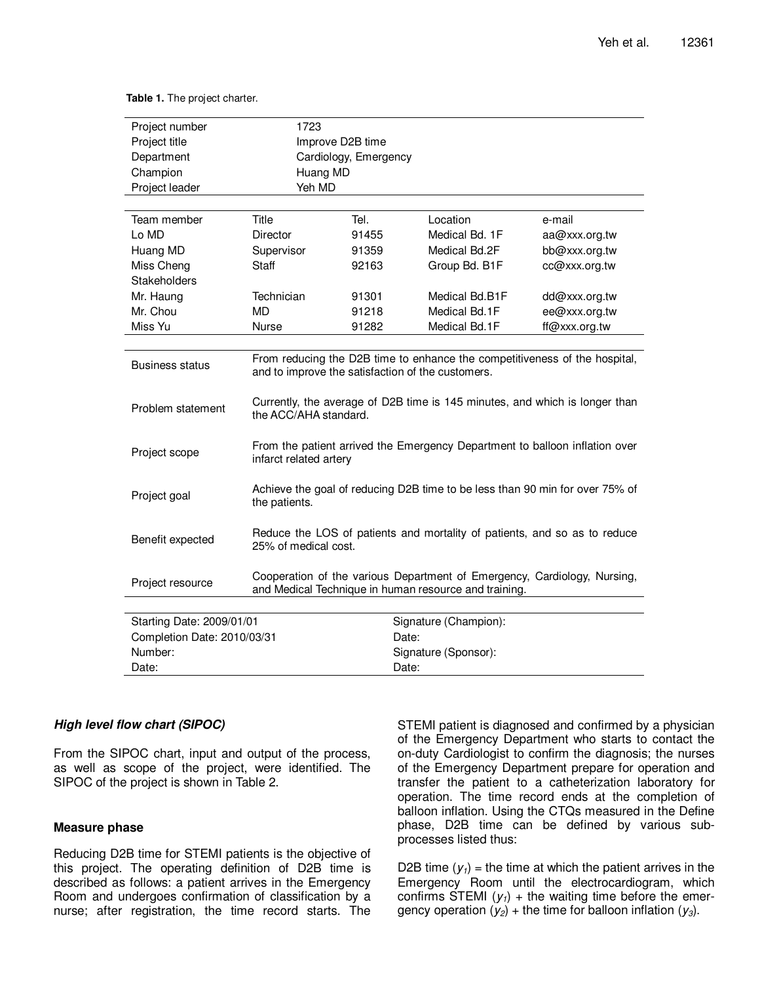**Table 1.** The project charter.

| Project number              | 1723                                                                                                                              |                       |                       |               |  |
|-----------------------------|-----------------------------------------------------------------------------------------------------------------------------------|-----------------------|-----------------------|---------------|--|
| Project title               |                                                                                                                                   | Improve D2B time      |                       |               |  |
| Department                  |                                                                                                                                   | Cardiology, Emergency |                       |               |  |
| Champion                    | Huang MD                                                                                                                          |                       |                       |               |  |
| Project leader              | Yeh MD                                                                                                                            |                       |                       |               |  |
|                             |                                                                                                                                   |                       |                       |               |  |
| Team member                 | Title                                                                                                                             | Tel.                  | Location              | e-mail        |  |
| Lo MD                       | Director                                                                                                                          | 91455                 | Medical Bd. 1F        | aa@xxx.org.tw |  |
| Huang MD                    | Supervisor                                                                                                                        | 91359                 | Medical Bd.2F         | bb@xxx.org.tw |  |
| Miss Cheng                  | Staff                                                                                                                             | 92163                 | Group Bd. B1F         | cc@xxx.org.tw |  |
| <b>Stakeholders</b>         |                                                                                                                                   |                       |                       |               |  |
| Mr. Haung                   | Technician                                                                                                                        | 91301                 | Medical Bd.B1F        | dd@xxx.org.tw |  |
| Mr. Chou                    | <b>MD</b>                                                                                                                         | 91218                 | Medical Bd.1F         | ee@xxx.org.tw |  |
| Miss Yu                     | <b>Nurse</b>                                                                                                                      | 91282                 | Medical Bd.1F         | ff@xxx.org.tw |  |
|                             |                                                                                                                                   |                       |                       |               |  |
| <b>Business status</b>      | From reducing the D2B time to enhance the competitiveness of the hospital,<br>and to improve the satisfaction of the customers.   |                       |                       |               |  |
| Problem statement           | Currently, the average of D2B time is 145 minutes, and which is longer than<br>the ACC/AHA standard.                              |                       |                       |               |  |
| Project scope               | From the patient arrived the Emergency Department to balloon inflation over<br>infarct related artery                             |                       |                       |               |  |
| Project goal                | Achieve the goal of reducing D2B time to be less than 90 min for over 75% of<br>the patients.                                     |                       |                       |               |  |
| Benefit expected            | Reduce the LOS of patients and mortality of patients, and so as to reduce<br>25% of medical cost.                                 |                       |                       |               |  |
| Project resource            | Cooperation of the various Department of Emergency, Cardiology, Nursing,<br>and Medical Technique in human resource and training. |                       |                       |               |  |
|                             |                                                                                                                                   |                       |                       |               |  |
| Starting Date: 2009/01/01   |                                                                                                                                   |                       | Signature (Champion): |               |  |
| Completion Date: 2010/03/31 |                                                                                                                                   | Date:                 |                       |               |  |
| Number:                     |                                                                                                                                   |                       | Signature (Sponsor):  |               |  |
| Date:                       |                                                                                                                                   | Date:                 |                       |               |  |

## **High level flow chart (SIPOC)**

From the SIPOC chart, input and output of the process, as well as scope of the project, were identified. The SIPOC of the project is shown in Table 2.

## **Measure phase**

Reducing D2B time for STEMI patients is the objective of this project. The operating definition of D2B time is described as follows: a patient arrives in the Emergency Room and undergoes confirmation of classification by a nurse; after registration, the time record starts. The

STEMI patient is diagnosed and confirmed by a physician of the Emergency Department who starts to contact the on-duty Cardiologist to confirm the diagnosis; the nurses of the Emergency Department prepare for operation and transfer the patient to a catheterization laboratory for operation. The time record ends at the completion of balloon inflation. Using the CTQs measured in the Define phase, D2B time can be defined by various subprocesses listed thus:

D2B time  $(y_1)$  = the time at which the patient arrives in the Emergency Room until the electrocardiogram, which confirms STEMI  $(y_1)$  + the waiting time before the emergency operation  $(y_2)$  + the time for balloon inflation  $(y_3)$ .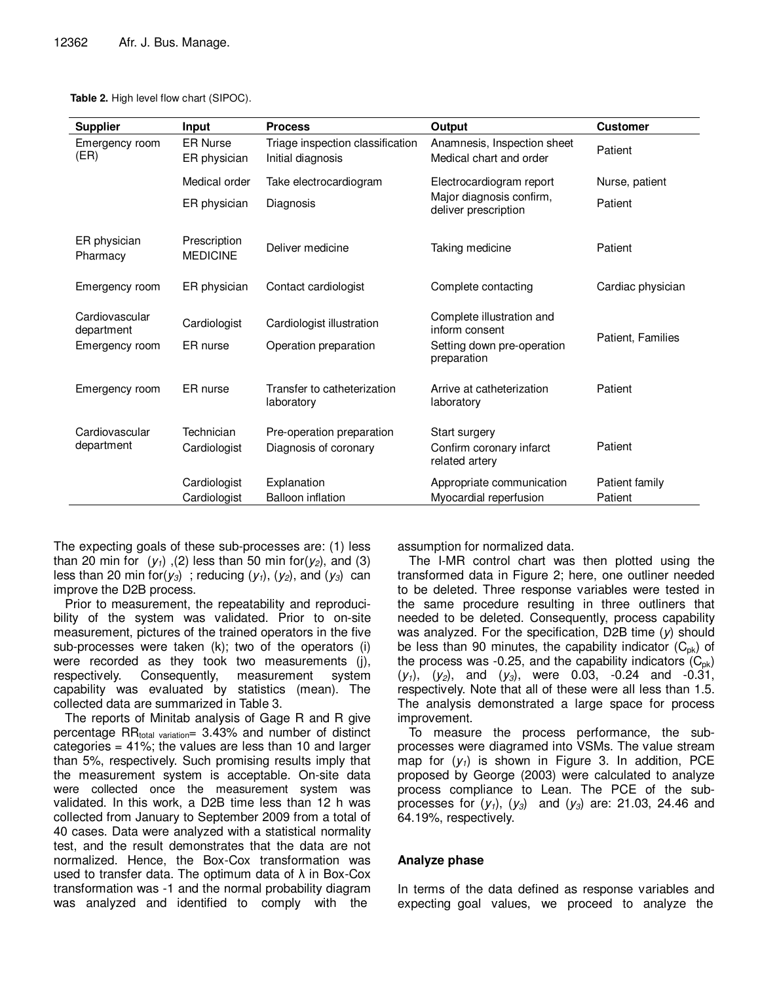**Table 2.** High level flow chart (SIPOC).

| <b>Supplier</b>              | Input                           | <b>Process</b>                                        | Output                                                 | <b>Customer</b>   |
|------------------------------|---------------------------------|-------------------------------------------------------|--------------------------------------------------------|-------------------|
| Emergency room<br>(ER)       | <b>ER Nurse</b><br>ER physician | Triage inspection classification<br>Initial diagnosis | Anamnesis, Inspection sheet<br>Medical chart and order | Patient           |
|                              | Medical order                   | Take electrocardiogram                                | Electrocardiogram report                               | Nurse, patient    |
|                              | ER physician                    | Diagnosis                                             | Major diagnosis confirm,<br>deliver prescription       | Patient           |
| ER physician<br>Pharmacy     | Prescription<br><b>MEDICINE</b> | Deliver medicine                                      | Taking medicine                                        | Patient           |
| Emergency room               | ER physician                    | Contact cardiologist                                  | Complete contacting                                    | Cardiac physician |
| Cardiovascular<br>department | Cardiologist                    | Cardiologist illustration                             | Complete illustration and<br>inform consent            | Patient. Families |
| Emergency room               | ER nurse                        | Operation preparation                                 | Setting down pre-operation<br>preparation              |                   |
| Emergency room               | ER nurse                        | Transfer to catheterization<br>laboratory             | Arrive at catheterization<br>laboratory                | Patient           |
| Cardiovascular               | Technician                      | Pre-operation preparation                             | Start surgery                                          |                   |
| department                   | Cardiologist                    | Diagnosis of coronary                                 | Confirm coronary infarct<br>related artery             | Patient           |
|                              | Cardiologist                    | Explanation                                           | Appropriate communication                              | Patient family    |
|                              | Cardiologist                    | <b>Balloon inflation</b>                              | Myocardial reperfusion                                 | Patient           |

The expecting goals of these sub-processes are: (1) less than 20 min for  $(y_1)$ , (2) less than 50 min for  $(y_2)$ , and (3) less than 20 min for( $y_3$ ); reducing  $(y_1)$ ,  $(y_2)$ , and  $(y_3)$  can improve the D2B process.

Prior to measurement, the repeatability and reproducibility of the system was validated. Prior to on-site measurement, pictures of the trained operators in the five sub-processes were taken (k); two of the operators (i) were recorded as they took two measurements (j), respectively. Consequently, measurement system capability was evaluated by statistics (mean). The collected data are summarized in Table 3.

The reports of Minitab analysis of Gage R and R give percentage  $RR_{total variation} = 3.43\%$  and number of distinct categories  $= 41\%$ ; the values are less than 10 and larger than 5%, respectively. Such promising results imply that the measurement system is acceptable. On-site data were collected once the measurement system was validated. In this work, a D2B time less than 12 h was collected from January to September 2009 from a total of 40 cases. Data were analyzed with a statistical normality test, and the result demonstrates that the data are not normalized. Hence, the Box-Cox transformation was used to transfer data. The optimum data of  $\lambda$  in Box-Cox transformation was -1 and the normal probability diagram was analyzed and identified to comply with the

assumption for normalized data.

The I-MR control chart was then plotted using the transformed data in Figure 2; here, one outliner needed to be deleted. Three response variables were tested in the same procedure resulting in three outliners that needed to be deleted. Consequently, process capability was analyzed. For the specification, D2B time  $(y)$  should be less than 90 minutes, the capability indicator  $(C_{pk})$  of the process was -0.25, and the capability indicators  $(C_{\text{ok}})$  $(y_1)$ ,  $(y_2)$ , and  $(y_3)$ , were 0.03, -0.24 and -0.31, respectively. Note that all of these were all less than 1.5. The analysis demonstrated a large space for process improvement.

To measure the process performance, the subprocesses were diagramed into VSMs. The value stream map for  $(y_1)$  is shown in Figure 3. In addition, PCE proposed by George (2003) were calculated to analyze process compliance to Lean. The PCE of the subprocesses for  $(y_1)$ ,  $(y_3)$  and  $(y_3)$  are: 21.03, 24.46 and 64.19%, respectively.

# **Analyze phase**

In terms of the data defined as response variables and expecting goal values, we proceed to analyze the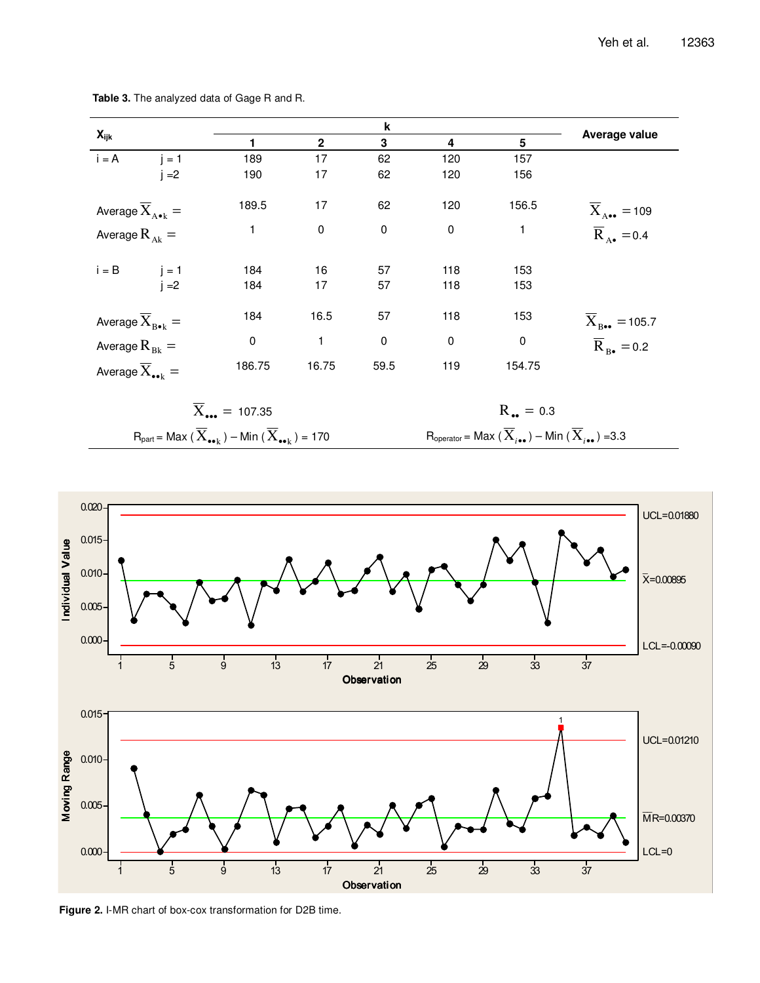|                                             |                                                                                                      |              | k           |             |                                                                                                                       |                                          |
|---------------------------------------------|------------------------------------------------------------------------------------------------------|--------------|-------------|-------------|-----------------------------------------------------------------------------------------------------------------------|------------------------------------------|
| $X_{ijk}$                                   | 1                                                                                                    | $\mathbf{2}$ | 3           | 4           | 5                                                                                                                     | Average value                            |
| $i = A$<br>$j = 1$                          | 189                                                                                                  | 17           | 62          | 120         | 157                                                                                                                   |                                          |
| $i = 2$                                     | 190                                                                                                  | 17           | 62          | 120         | 156                                                                                                                   |                                          |
| Average $\overline{X}_{A\bullet k} =$       | 189.5                                                                                                | 17           | 62          | 120         | 156.5                                                                                                                 | $\overline{X}_{A\bullet\bullet}$ = 109   |
| Average $R_{\scriptscriptstyle{Ak}} =$      | 1                                                                                                    | 0            | $\mathbf 0$ | $\pmb{0}$   | $\mathbf{1}$                                                                                                          | $\overline{R}_{A\bullet} = 0.4$          |
| $i = B$ $j = 1$                             | 184                                                                                                  | 16           | 57          | 118         | 153                                                                                                                   |                                          |
| $i = 2$                                     | 184                                                                                                  | 17           | 57          | 118         | 153                                                                                                                   |                                          |
| Average $\overline{X}_{B\bullet k} =$       | 184                                                                                                  | 16.5         | 57          | 118         | 153                                                                                                                   | $\overline{X}_{B\bullet\bullet} = 105.7$ |
| Average $R_{Bk} =$                          | $\pmb{0}$                                                                                            | 1            | $\pmb{0}$   | $\mathbf 0$ | $\mathsf 0$                                                                                                           | $\overline{R}_{B\bullet} = 0.2$          |
| Average $\overline{X}_{\bullet\bullet k} =$ | 186.75                                                                                               | 16.75        | 59.5        | 119         | 154.75                                                                                                                |                                          |
|                                             | $\overline{X}_{.} = 107.35$                                                                          |              |             |             | $R_{\bullet \bullet} = 0.3$                                                                                           |                                          |
|                                             | $R_{part}$ = Max $(\overline{X}_{\bullet\bullet k})$ – Min $(\overline{X}_{\bullet\bullet k})$ = 170 |              |             |             | $R_{\text{operator}} = \text{Max}(\overline{X}_{i\bullet\bullet}) - \text{Min}(\overline{X}_{i\bullet\bullet}) = 3.3$ |                                          |

**Table 3.** The analyzed data of Gage R and R.



**Figure 2.** I-MR chart of box-cox transformation for D2B time.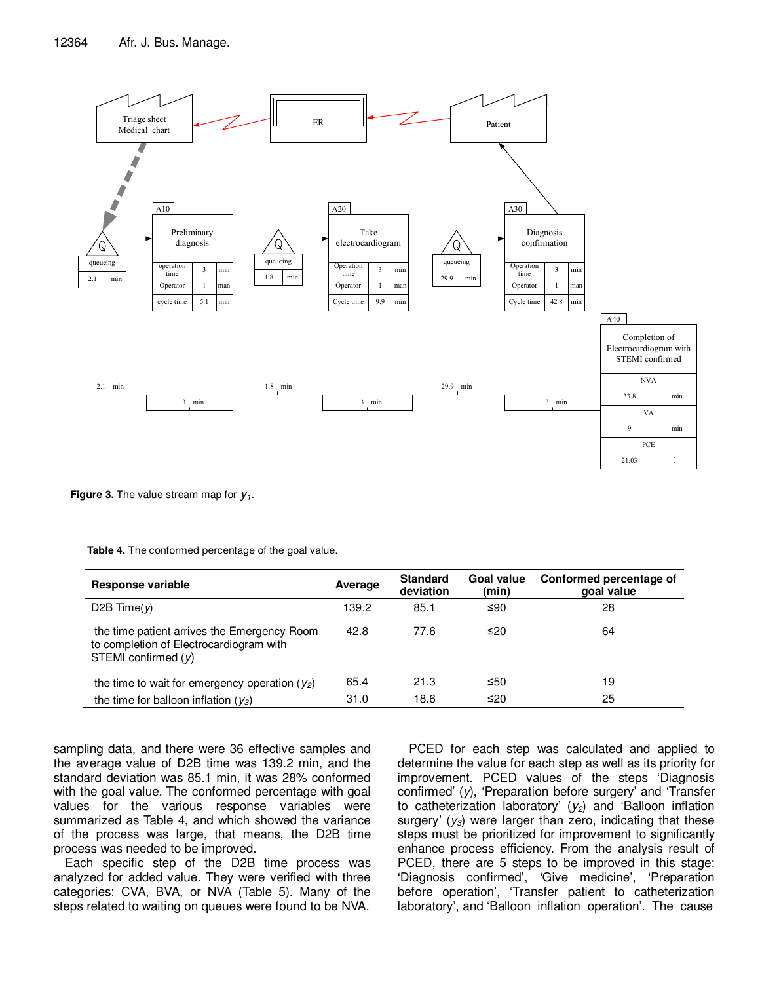

**Figure 3.** The value stream map for  $y_1$ .

| Response variable                                                                                               | Average | <b>Standard</b><br>deviation | Goal value<br>(min) | Conformed percentage of<br>goal value |
|-----------------------------------------------------------------------------------------------------------------|---------|------------------------------|---------------------|---------------------------------------|
| D <sub>2</sub> B Time( $\nu$ )                                                                                  | 139.2   | 85.1                         | ≤90                 | 28                                    |
| the time patient arrives the Emergency Room<br>to completion of Electrocardiogram with<br>STEMI confirmed $(y)$ | 42.8    | 77.6                         | ≤20                 | 64                                    |
| the time to wait for emergency operation $(y_2)$                                                                | 65.4    | 21.3                         | ≤50                 | 19                                    |
| the time for balloon inflation $(y_3)$                                                                          | 31.0    | 18.6                         | ≤20                 | 25                                    |

**Table 4.** The conformed percentage of the goal value.

sampling data, and there were 36 effective samples and the average value of D2B time was 139.2 min, and the standard deviation was 85.1 min, it was 28% conformed with the goal value. The conformed percentage with goal values for the various response variables were summarized as Table 4, and which showed the variance of the process was large, that means, the D2B time process was needed to be improved.

Each specific step of the D2B time process was analyzed for added value. They were verified with three categories: CVA, BVA, or NVA (Table 5). Many of the steps related to waiting on queues were found to be NVA.

PCED for each step was calculated and applied to determine the value for each step as well as its priority for improvement. PCED values of the steps 'Diagnosis confirmed' (y), 'Preparation before surgery' and 'Transfer to catheterization laboratory'  $(y_2)$  and 'Balloon inflation surgery'  $(y_3)$  were larger than zero, indicating that these steps must be prioritized for improvement to significantly enhance process efficiency. From the analysis result of PCED, there are 5 steps to be improved in this stage: 'Diagnosis confirmed', 'Give medicine', 'Preparation before operation', 'Transfer patient to catheterization laboratory', and 'Balloon inflation operation'. The cause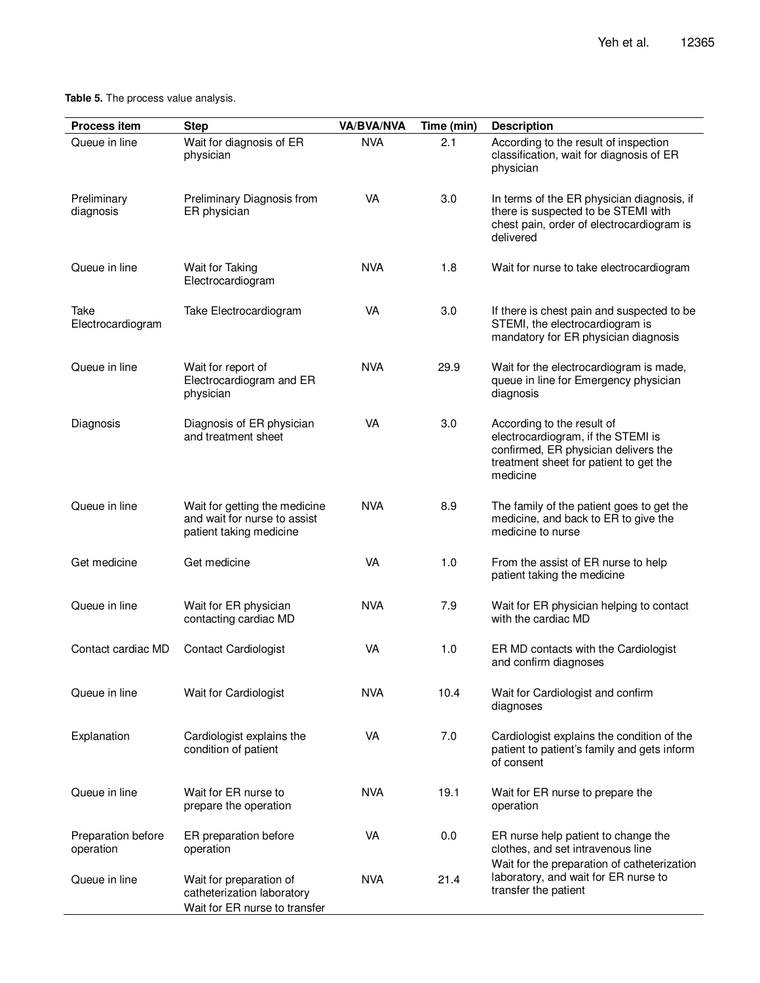# **Table 5.** The process value analysis.

| <b>Process item</b>             | <b>Step</b>                                                                              | <b>VA/BVA/NVA</b> | Time (min) | <b>Description</b>                                                                                                                                             |
|---------------------------------|------------------------------------------------------------------------------------------|-------------------|------------|----------------------------------------------------------------------------------------------------------------------------------------------------------------|
| Queue in line                   | Wait for diagnosis of ER<br>physician                                                    | <b>NVA</b>        | 2.1        | According to the result of inspection<br>classification, wait for diagnosis of ER<br>physician                                                                 |
| Preliminary<br>diagnosis        | Preliminary Diagnosis from<br>ER physician                                               | <b>VA</b>         | 3.0        | In terms of the ER physician diagnosis, if<br>there is suspected to be STEMI with<br>chest pain, order of electrocardiogram is<br>delivered                    |
| Queue in line                   | Wait for Taking<br>Electrocardiogram                                                     | <b>NVA</b>        | 1.8        | Wait for nurse to take electrocardiogram                                                                                                                       |
| Take<br>Electrocardiogram       | Take Electrocardiogram                                                                   | <b>VA</b>         | 3.0        | If there is chest pain and suspected to be<br>STEMI, the electrocardiogram is<br>mandatory for ER physician diagnosis                                          |
| Queue in line                   | Wait for report of<br>Electrocardiogram and ER<br>physician                              | <b>NVA</b>        | 29.9       | Wait for the electrocardiogram is made,<br>queue in line for Emergency physician<br>diagnosis                                                                  |
| Diagnosis                       | Diagnosis of ER physician<br>and treatment sheet                                         | VA                | 3.0        | According to the result of<br>electrocardiogram, if the STEMI is<br>confirmed, ER physician delivers the<br>treatment sheet for patient to get the<br>medicine |
| Queue in line                   | Wait for getting the medicine<br>and wait for nurse to assist<br>patient taking medicine | <b>NVA</b>        | 8.9        | The family of the patient goes to get the<br>medicine, and back to ER to give the<br>medicine to nurse                                                         |
| Get medicine                    | Get medicine                                                                             | <b>VA</b>         | 1.0        | From the assist of ER nurse to help<br>patient taking the medicine                                                                                             |
| Queue in line                   | Wait for ER physician<br>contacting cardiac MD                                           | <b>NVA</b>        | 7.9        | Wait for ER physician helping to contact<br>with the cardiac MD                                                                                                |
| Contact cardiac MD              | <b>Contact Cardiologist</b>                                                              | <b>VA</b>         | 1.0        | ER MD contacts with the Cardiologist<br>and confirm diagnoses                                                                                                  |
| Queue in line                   | Wait for Cardiologist                                                                    | <b>NVA</b>        | 10.4       | Wait for Cardiologist and confirm<br>diagnoses                                                                                                                 |
| Explanation                     | Cardiologist explains the<br>condition of patient                                        | <b>VA</b>         | 7.0        | Cardiologist explains the condition of the<br>patient to patient's family and gets inform<br>of consent                                                        |
| Queue in line                   | Wait for ER nurse to<br>prepare the operation                                            | <b>NVA</b>        | 19.1       | Wait for ER nurse to prepare the<br>operation                                                                                                                  |
| Preparation before<br>operation | ER preparation before<br>operation                                                       | <b>VA</b>         | 0.0        | ER nurse help patient to change the<br>clothes, and set intravenous line                                                                                       |
| Queue in line                   | Wait for preparation of<br>catheterization laboratory<br>Wait for ER nurse to transfer   | <b>NVA</b>        | 21.4       | Wait for the preparation of catheterization<br>laboratory, and wait for ER nurse to<br>transfer the patient                                                    |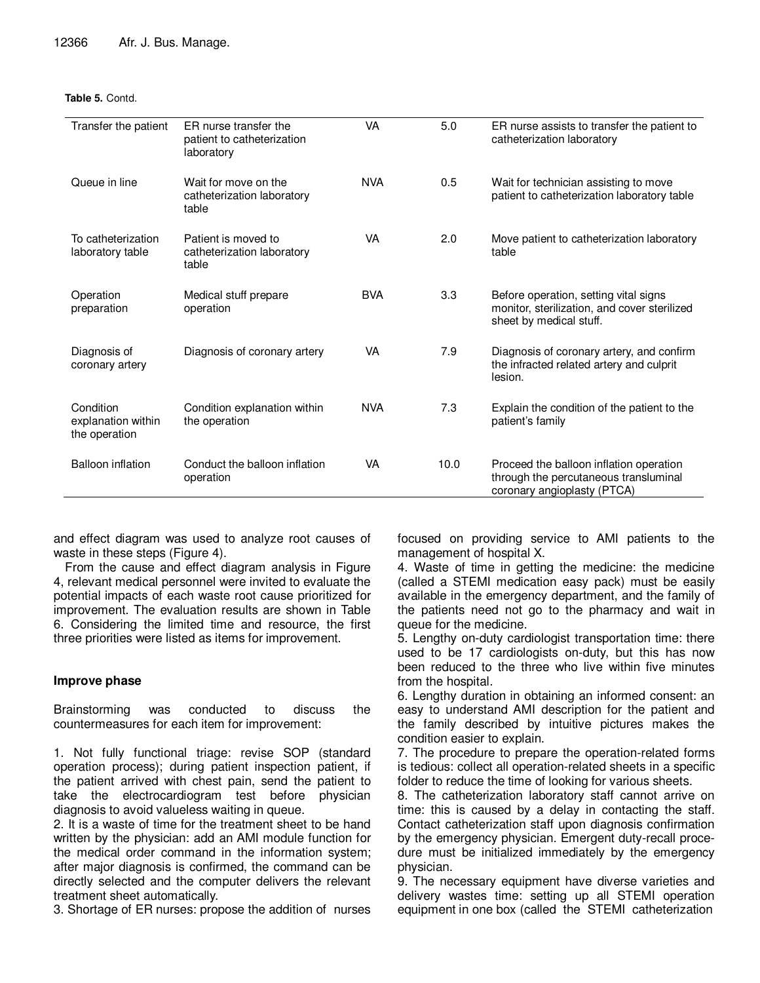#### **Table 5.** Contd.

| Transfer the patient                             | ER nurse transfer the<br>patient to catheterization<br>laboratory | VA         | 5.0  | ER nurse assists to transfer the patient to<br>catheterization laboratory                                        |
|--------------------------------------------------|-------------------------------------------------------------------|------------|------|------------------------------------------------------------------------------------------------------------------|
| Queue in line                                    | Wait for move on the<br>catheterization laboratory<br>table       | <b>NVA</b> | 0.5  | Wait for technician assisting to move<br>patient to catheterization laboratory table                             |
| To catheterization<br>laboratory table           | Patient is moved to<br>catheterization laboratory<br>table        | VA         | 2.0  | Move patient to catheterization laboratory<br>table                                                              |
| Operation<br>preparation                         | Medical stuff prepare<br>operation                                | <b>BVA</b> | 3.3  | Before operation, setting vital signs<br>monitor, sterilization, and cover sterilized<br>sheet by medical stuff. |
| Diagnosis of<br>coronary artery                  | Diagnosis of coronary artery                                      | VA         | 7.9  | Diagnosis of coronary artery, and confirm<br>the infracted related artery and culprit<br>lesion.                 |
| Condition<br>explanation within<br>the operation | Condition explanation within<br>the operation                     | <b>NVA</b> | 7.3  | Explain the condition of the patient to the<br>patient's family                                                  |
| <b>Balloon inflation</b>                         | Conduct the balloon inflation<br>operation                        | <b>VA</b>  | 10.0 | Proceed the balloon inflation operation<br>through the percutaneous transluminal<br>coronary angioplasty (PTCA)  |

and effect diagram was used to analyze root causes of waste in these steps (Figure 4).

From the cause and effect diagram analysis in Figure 4, relevant medical personnel were invited to evaluate the potential impacts of each waste root cause prioritized for improvement. The evaluation results are shown in Table 6. Considering the limited time and resource, the first three priorities were listed as items for improvement.

# **Improve phase**

Brainstorming was conducted to discuss the countermeasures for each item for improvement:

1. Not fully functional triage: revise SOP (standard operation process); during patient inspection patient, if the patient arrived with chest pain, send the patient to take the electrocardiogram test before physician diagnosis to avoid valueless waiting in queue.

2. It is a waste of time for the treatment sheet to be hand written by the physician: add an AMI module function for the medical order command in the information system; after major diagnosis is confirmed, the command can be directly selected and the computer delivers the relevant treatment sheet automatically.

3. Shortage of ER nurses: propose the addition of nurses

focused on providing service to AMI patients to the management of hospital X.

4. Waste of time in getting the medicine: the medicine (called a STEMI medication easy pack) must be easily available in the emergency department, and the family of the patients need not go to the pharmacy and wait in queue for the medicine.

5. Lengthy on-duty cardiologist transportation time: there used to be 17 cardiologists on-duty, but this has now been reduced to the three who live within five minutes from the hospital.

6. Lengthy duration in obtaining an informed consent: an easy to understand AMI description for the patient and the family described by intuitive pictures makes the condition easier to explain.

7. The procedure to prepare the operation-related forms is tedious: collect all operation-related sheets in a specific folder to reduce the time of looking for various sheets.

8. The catheterization laboratory staff cannot arrive on time: this is caused by a delay in contacting the staff. Contact catheterization staff upon diagnosis confirmation by the emergency physician. Emergent duty-recall procedure must be initialized immediately by the emergency physician.

9. The necessary equipment have diverse varieties and delivery wastes time: setting up all STEMI operation equipment in one box (called the STEMI catheterization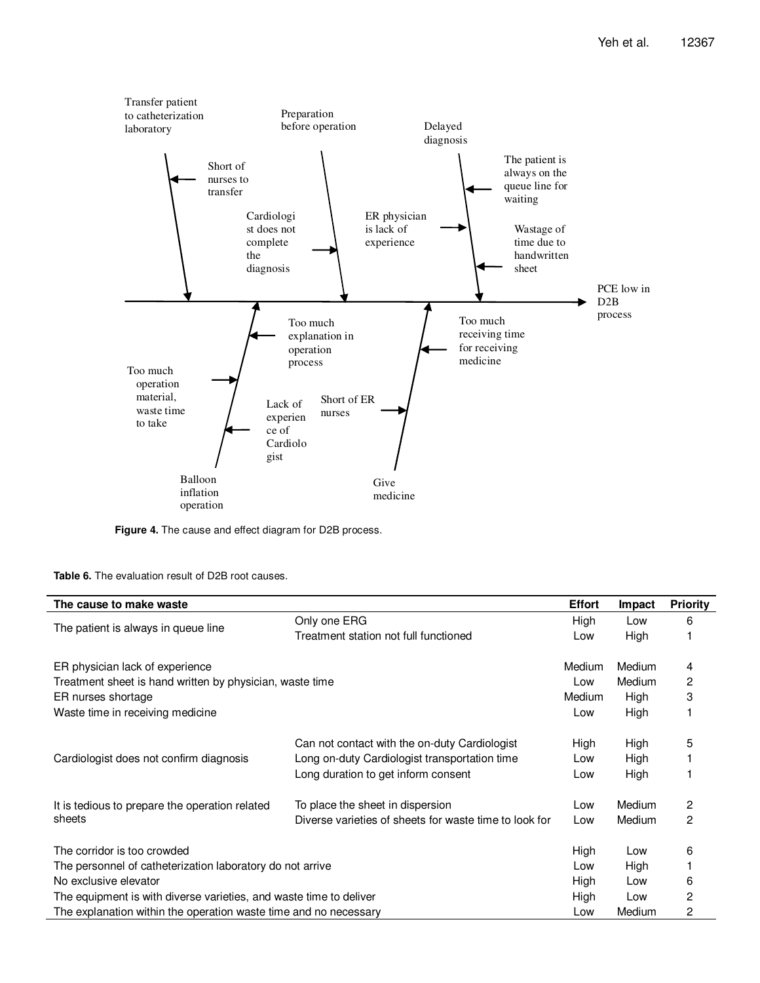

**Figure 4.** The cause and effect diagram for D2B process.

**Table 6.** The evaluation result of D2B root causes.

| The cause to make waste                                            |                                                        | <b>Effort</b> | Impact | <b>Priority</b> |
|--------------------------------------------------------------------|--------------------------------------------------------|---------------|--------|-----------------|
| The patient is always in queue line                                | Only one ERG                                           | High          | Low    | 6               |
|                                                                    | Treatment station not full functioned                  | Low           | High   |                 |
| ER physician lack of experience                                    |                                                        | Medium        | Medium | 4               |
| Treatment sheet is hand written by physician, waste time           |                                                        | Low           | Medium | 2               |
| ER nurses shortage                                                 |                                                        | Medium        | High   | 3               |
| Waste time in receiving medicine                                   |                                                        | Low           | High   |                 |
|                                                                    | Can not contact with the on-duty Cardiologist          | High          | High   | 5               |
| Cardiologist does not confirm diagnosis                            | Long on-duty Cardiologist transportation time          | Low           | High   |                 |
|                                                                    | Long duration to get inform consent                    | Low           | High   |                 |
| It is tedious to prepare the operation related                     | To place the sheet in dispersion                       | Low           | Medium | 2               |
| sheets                                                             | Diverse varieties of sheets for waste time to look for | Low           | Medium | 2               |
| The corridor is too crowded                                        |                                                        | High          | Low    | 6               |
| The personnel of catheterization laboratory do not arrive          |                                                        |               | High   |                 |
| No exclusive elevator                                              |                                                        |               | Low    | 6               |
| The equipment is with diverse varieties, and waste time to deliver | High                                                   | Low           | 2      |                 |
| The explanation within the operation waste time and no necessary   |                                                        | Low           | Medium | 2               |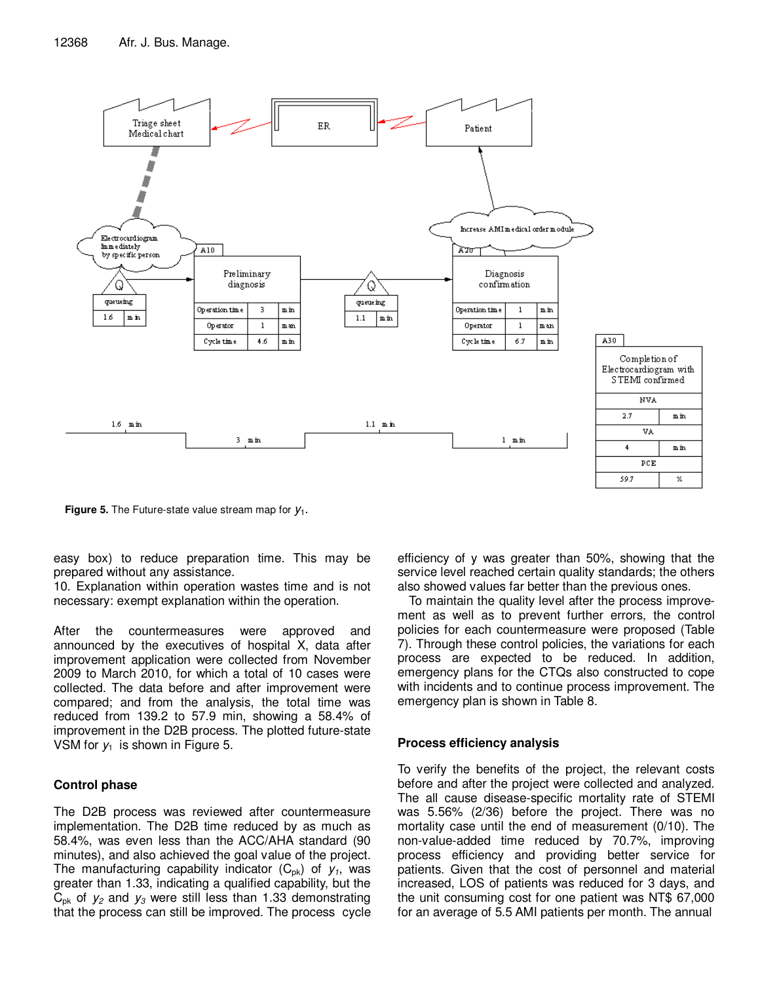

**Figure 5.** The Future-state value stream map for  $y_1$ .

easy box) to reduce preparation time. This may be prepared without any assistance.

10. Explanation within operation wastes time and is not necessary: exempt explanation within the operation.

After the countermeasures were approved and announced by the executives of hospital X, data after improvement application were collected from November 2009 to March 2010, for which a total of 10 cases were collected. The data before and after improvement were compared; and from the analysis, the total time was reduced from 139.2 to 57.9 min, showing a 58.4% of improvement in the D2B process. The plotted future-state VSM for  $y_1$  is shown in Figure 5.

# **Control phase**

The D2B process was reviewed after countermeasure implementation. The D2B time reduced by as much as 58.4%, was even less than the ACC/AHA standard (90 minutes), and also achieved the goal value of the project. The manufacturing capability indicator  $(C_{\text{pk}})$  of  $y_1$ , was greater than 1.33, indicating a qualified capability, but the  $C_{\rm pk}$  of  $y_2$  and  $y_3$  were still less than 1.33 demonstrating that the process can still be improved. The process cycle efficiency of y was greater than 50%, showing that the service level reached certain quality standards; the others also showed values far better than the previous ones.

To maintain the quality level after the process improvement as well as to prevent further errors, the control policies for each countermeasure were proposed (Table 7). Through these control policies, the variations for each process are expected to be reduced. In addition, emergency plans for the CTQs also constructed to cope with incidents and to continue process improvement. The emergency plan is shown in Table 8.

## **Process efficiency analysis**

To verify the benefits of the project, the relevant costs before and after the project were collected and analyzed. The all cause disease-specific mortality rate of STEMI was 5.56% (2/36) before the project. There was no mortality case until the end of measurement (0/10). The non-value-added time reduced by 70.7%, improving process efficiency and providing better service for patients. Given that the cost of personnel and material increased, LOS of patients was reduced for 3 days, and the unit consuming cost for one patient was NT\$ 67,000 for an average of 5.5 AMI patients per month. The annual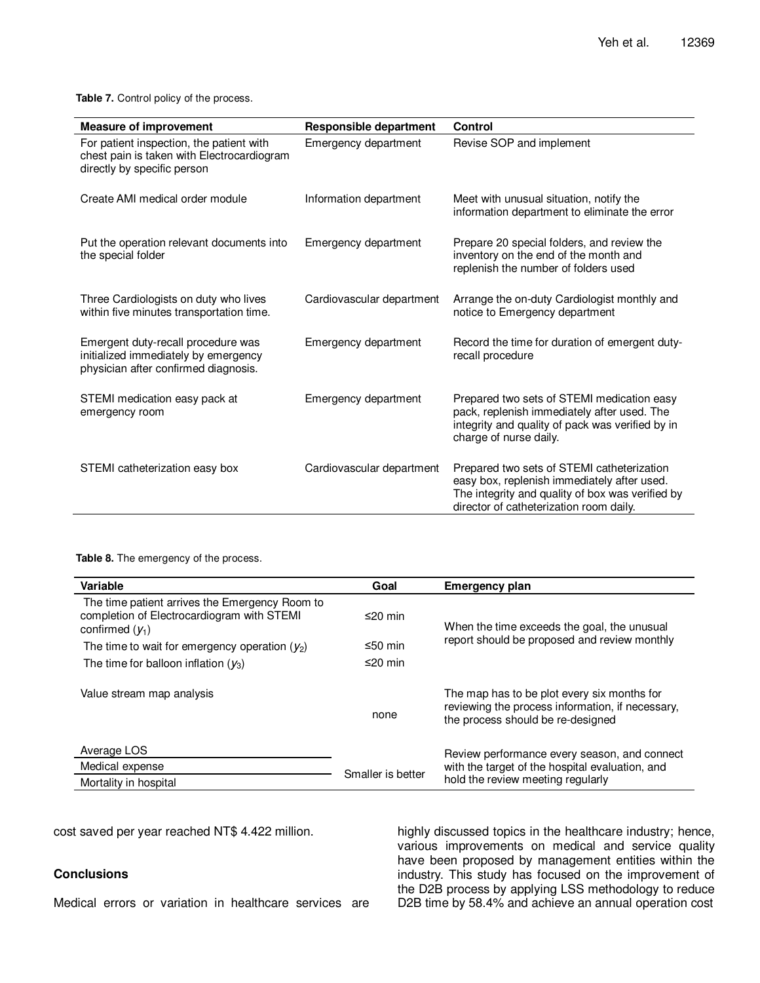**Table 7.** Control policy of the process.

| <b>Measure of improvement</b>                                                                                         | Responsible department    | Control                                                                                                                                                                                  |
|-----------------------------------------------------------------------------------------------------------------------|---------------------------|------------------------------------------------------------------------------------------------------------------------------------------------------------------------------------------|
| For patient inspection, the patient with<br>chest pain is taken with Electrocardiogram<br>directly by specific person | Emergency department      | Revise SOP and implement                                                                                                                                                                 |
| Create AMI medical order module                                                                                       | Information department    | Meet with unusual situation, notify the<br>information department to eliminate the error                                                                                                 |
| Put the operation relevant documents into<br>the special folder                                                       | Emergency department      | Prepare 20 special folders, and review the<br>inventory on the end of the month and<br>replenish the number of folders used                                                              |
| Three Cardiologists on duty who lives<br>within five minutes transportation time.                                     | Cardiovascular department | Arrange the on-duty Cardiologist monthly and<br>notice to Emergency department                                                                                                           |
| Emergent duty-recall procedure was<br>initialized immediately by emergency<br>physician after confirmed diagnosis.    | Emergency department      | Record the time for duration of emergent duty-<br>recall procedure                                                                                                                       |
| STEMI medication easy pack at<br>emergency room                                                                       | Emergency department      | Prepared two sets of STEMI medication easy<br>pack, replenish immediately after used. The<br>integrity and quality of pack was verified by in<br>charge of nurse daily.                  |
| STEMI catheterization easy box                                                                                        | Cardiovascular department | Prepared two sets of STEMI catheterization<br>easy box, replenish immediately after used.<br>The integrity and quality of box was verified by<br>director of catheterization room daily. |

**Table 8.** The emergency of the process.

| Variable                                                                                                          | Goal              | <b>Emergency plan</b>                                                                                                                |
|-------------------------------------------------------------------------------------------------------------------|-------------------|--------------------------------------------------------------------------------------------------------------------------------------|
| The time patient arrives the Emergency Room to<br>completion of Electrocardiogram with STEMI<br>confirmed $(V_1)$ | ≤20 min           | When the time exceeds the goal, the unusual                                                                                          |
| The time to wait for emergency operation $(y_2)$                                                                  | ≤50 min           | report should be proposed and review monthly                                                                                         |
| The time for balloon inflation $(y_3)$                                                                            | ≤20 min           |                                                                                                                                      |
| Value stream map analysis                                                                                         | none              | The map has to be plot every six months for<br>reviewing the process information, if necessary,<br>the process should be re-designed |
| Average LOS                                                                                                       |                   | Review performance every season, and connect                                                                                         |
| Medical expense                                                                                                   | Smaller is better | with the target of the hospital evaluation, and                                                                                      |
| Mortality in hospital                                                                                             |                   | hold the review meeting regularly                                                                                                    |

cost saved per year reached NT\$ 4.422 million.

# **Conclusions**

Medical errors or variation in healthcare services are

highly discussed topics in the healthcare industry; hence, various improvements on medical and service quality have been proposed by management entities within the industry. This study has focused on the improvement of the D2B process by applying LSS methodology to reduce D2B time by 58.4% and achieve an annual operation cost